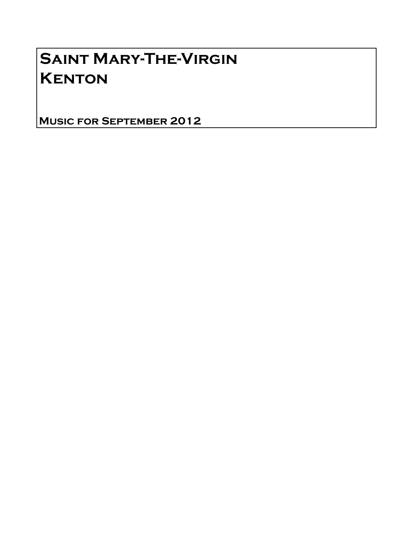# Saint Mary-The-Virgin **KENTON**

Music for September 2012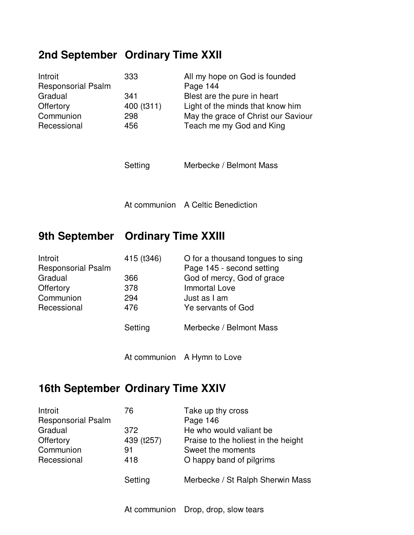# **2nd September Ordinary Time XXII**

| Introit<br><b>Responsorial Psalm</b><br>Gradual<br>Offertory<br>Communion<br>Recessional | 333<br>341<br>400 (t311)<br>298<br>456 | All my hope on God is founded<br>Page 144<br>Blest are the pure in heart<br>Light of the minds that know him<br>May the grace of Christ our Saviour<br>Teach me my God and King |
|------------------------------------------------------------------------------------------|----------------------------------------|---------------------------------------------------------------------------------------------------------------------------------------------------------------------------------|
|                                                                                          | Setting                                | Merbecke / Belmont Mass                                                                                                                                                         |
|                                                                                          |                                        | At communion A Celtic Benediction                                                                                                                                               |
|                                                                                          |                                        |                                                                                                                                                                                 |
| 9th September Ordinary Time XXIII                                                        |                                        |                                                                                                                                                                                 |
| Introit<br><b>Responsorial Psalm</b><br>Gradual<br>Offertory<br>Communion<br>Recessional | 415 (t346)<br>366<br>378<br>294<br>476 | O for a thousand tongues to sing<br>Page 145 - second setting<br>God of mercy, God of grace<br><b>Immortal Love</b><br>Just as I am<br>Ye servants of God                       |
|                                                                                          | Setting                                | Merbecke / Belmont Mass                                                                                                                                                         |

## **16th September Ordinary Time XXIV**

| Introit                   | 76         | Take up thy cross                   |
|---------------------------|------------|-------------------------------------|
| <b>Responsorial Psalm</b> |            | Page 146                            |
| Gradual                   | 372        | He who would valiant be             |
| Offertory                 | 439 (t257) | Praise to the holiest in the height |
| Communion                 | 91         | Sweet the moments                   |
| Recessional               | 418        | O happy band of pilgrims            |
|                           | Setting    | Merbecke / St Ralph Sherwin Mass    |